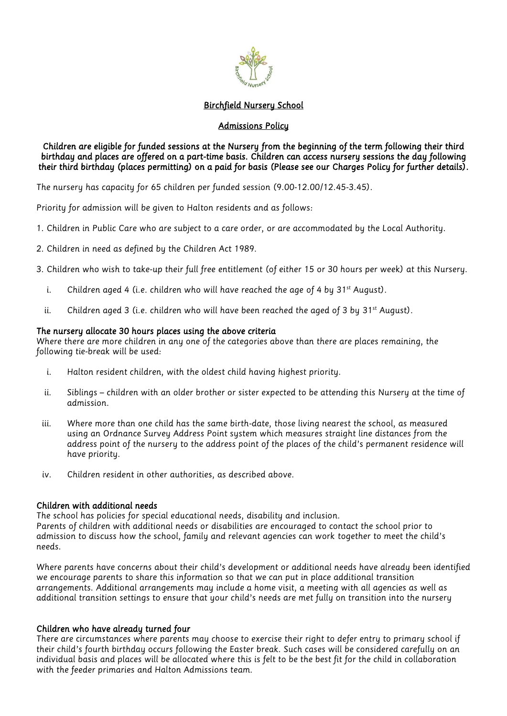

### *Birchfield Nursery School*

### *Admissions Policy*

### *Children are eligible for funded sessions at the Nursery from the beginning of the term following their third birthday and places are offered on a part-time basis. Children can access nursery sessions the day following their third birthday (places permitting) on a paid for basis (Please see our Charges Policy for further details).*

*The nursery has capacity for 65 children per funded session (9.00-12.00/12.45-3.45).*

*Priority for admission will be given to Halton residents and as follows:*

- *1. Children in Public Care who are subject to a care order, or are accommodated by the Local Authority.*
- *2. Children in need as defined by the Children Act 1989.*
- *3. Children who wish to take-up their full free entitlement (of either 15 or 30 hours per week) at this Nursery.*
	- *i. Children aged 4 (i.e. children who will have reached the age of 4 by 31st August).*
	- ii. Children aged 3 (i.e. children who will have been reached the aged of 3 by 31st August).

### *The nursery allocate 30 hours places using the above criteria*

*Where there are more children in any one of the categories above than there are places remaining, the following tie-break will be used:*

- *i. Halton resident children, with the oldest child having highest priority.*
- *ii. Siblings – children with an older brother or sister expected to be attending this Nursery at the time of admission.*
- *iii. Where more than one child has the same birth-date, those living nearest the school, as measured using an Ordnance Survey Address Point system which measures straight line distances from the*  address point of the nursery to the address point of the places of the child's permanent residence will *have priority.*
- *iv. Children resident in other authorities, as described above.*

# *Children with additional needs*

*The school has policies for special educational needs, disability and inclusion. Parents of children with additional needs or disabilities are encouraged to contact the school prior to admission to discuss how the school, family and relevant agencies can work together to meet the child's needs.*

*Where parents have concerns about their child's development or additional needs have already been identified we encourage parents to share this information so that we can put in place additional transition arrangements. Additional arrangements may include a home visit, a meeting with all agencies as well as additional transition settings to ensure that your child's needs are met fully on transition into the nursery*

# *Children who have already turned four*

*There are circumstances where parents may choose to exercise their right to defer entry to primary school if their child's fourth birthday occurs following the Easter break. Such cases will be considered carefully on an individual basis and places will be allocated where this is felt to be the best fit for the child in collaboration with the feeder primaries and Halton Admissions team.*